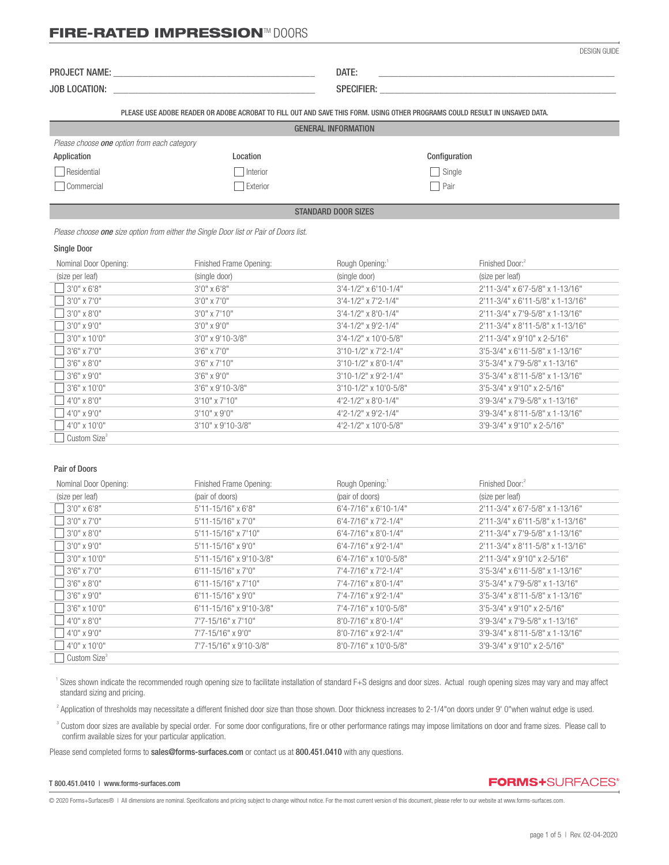# **FIRE-RATED IMPRESSION<sup>™</sup>DOORS**

| DESIGN GUIDE |  |
|--------------|--|

| PROJEC | NAMI | --<br>ומני<br>$-111 - 1$ |  |
|--------|------|--------------------------|--|
|        |      |                          |  |

JOB LOCATION: \_\_\_\_\_\_\_\_\_\_\_\_\_\_\_\_\_\_\_\_\_\_\_\_\_\_\_\_\_\_\_\_\_\_\_\_\_\_\_\_\_ SPECIFIER: \_\_\_\_\_\_\_\_\_\_\_\_\_\_\_\_\_\_\_\_\_\_\_\_\_\_\_\_\_\_\_\_\_\_\_\_\_\_\_\_\_\_\_\_\_\_\_\_

PLEASE USE ADOBE READER OR ADOBE ACROBAT TO FILL OUT AND SAVE THIS FORM. USING OTHER PROGRAMS COULD RESULT IN UNSAVED DATA.

#### GENERAL INFORMATION

| Please choose <b>one</b> option from each category |          |               |  |  |
|----------------------------------------------------|----------|---------------|--|--|
| Application                                        | Location | Configuration |  |  |
| Residential                                        | Interior | Single        |  |  |
| Commercial                                         | Exterior | Pair          |  |  |

### STANDARD DOOR SIZES

 *Please choose one size option from either the Single Door list or Pair of Doors list.*

#### Single Door

֦

| Nominal Door Opening:    | Finished Frame Opening: | Rough Opening:                   | Finished Door: <sup>2</sup>      |
|--------------------------|-------------------------|----------------------------------|----------------------------------|
| (size per leaf)          | (single door)           | (single door)                    | (size per leaf)                  |
| $3'0''$ x 6'8"           | $3'0''$ x 6'8"          | $3'4 - 1/2''$ x 6'10-1/4"        | 2'11-3/4" x 6'7-5/8" x 1-13/16"  |
| $13'0''$ x 7'0"          | $3'0''$ x 7'0"          | $3'4 - 1/2''$ x $7'2 - 1/4''$    | 2'11-3/4" x 6'11-5/8" x 1-13/16" |
| $3'0''$ x 8'0"           | $3'0''$ x 7'10"         | $3'4 - 1/2''$ x 8'0-1/4"         | 2'11-3/4" x 7'9-5/8" x 1-13/16"  |
| $3'0'' \times 9'0''$     | $3'0''$ x $9'0''$       | $3'4 - 1/2''$ x 9'2-1/4"         | 2'11-3/4" x 8'11-5/8" x 1-13/16" |
| $13'0''$ x 10'0"         | 3'0" x 9'10-3/8"        | $3'4 - 1/2''$ x 10'0-5/8"        | $2'11-3/4"$ x 9'10" x 2-5/16"    |
| $13'6'' \times 7'0''$    | $3'6''$ x 7'0"          | 3'10-1/2" x 7'2-1/4"             | 3'5-3/4" x 6'11-5/8" x 1-13/16"  |
| $3'6'' \times 8'0''$     | $3'6''$ x $7'10''$      | $3'10-1/2"$ x 8'0-1/4"           | 3'5-3/4" x 7'9-5/8" x 1-13/16"   |
| $3'6'' \times 9'0''$     | $3'6'' \times 9'0''$    | 3'10-1/2" x 9'2-1/4"             | 3'5-3/4" x 8'11-5/8" x 1-13/16"  |
| $3'6'' \times 10'0''$    | 3'6" x 9'10-3/8"        | $3'10-1/2"$ x 10'0-5/8"          | 3'5-3/4" x 9'10" x 2-5/16"       |
| 4'0" x 8'0"              | $3'10''$ x $7'10''$     | $4'2 - 1/2'' \times 8'0 - 1/4''$ | 3'9-3/4" x 7'9-5/8" x 1-13/16"   |
| 14'0" x 9'0"             | $3'10''$ x 9'0"         | $4'2 - 1/2''$ x 9'2-1/4"         | 3'9-3/4" x 8'11-5/8" x 1-13/16"  |
| 4'0" x 10'0"             | 3'10" x 9'10-3/8"       | 4'2-1/2" x 10'0-5/8"             | 3'9-3/4" x 9'10" x 2-5/16"       |
| Custom Size <sup>3</sup> |                         |                                  |                                  |

#### Pair of Doors

| Nominal Door Opening:    | Finished Frame Opening:     | Rough Opening:                    | Finished Door: <sup>2</sup>          |
|--------------------------|-----------------------------|-----------------------------------|--------------------------------------|
| (size per leaf)          | (pair of doors)             | (pair of doors)                   | (size per leaf)                      |
| $3'0''$ x 6'8"           | $5'11 - 15/16''$ x 6'8"     | 6'4-7/16" x 6'10-1/4"             | 2'11-3/4" x 6'7-5/8" x 1-13/16"      |
| $3'0''$ x 7'0"           | $5'11 - 15/16''$ x $7'0''$  | $6'4 - 7/16''$ x 7'2-1/4"         | $2'11-3/4"$ x 6'11-5/8" x 1-13/16"   |
| $3'0''$ x 8'0"           | $5'11 - 15/16''$ x $7'10''$ | $6'4 - 7/16'' \times 8'0 - 1/4''$ | 2'11-3/4" x 7'9-5/8" x 1-13/16"      |
| $3'0''$ x 9'0"           | $5'11 - 15/16''$ x 9'0"     | $6'4 - 7/16''$ x 9'2-1/4"         | 2'11-3/4" x 8'11-5/8" x 1-13/16"     |
| $3'0''$ x 10'0"          | 5'11-15/16" x 9'10-3/8"     | $6'4 - 7/16''$ x 10'0-5/8"        | 2'11-3/4" x 9'10" x 2-5/16"          |
| $3'6'' \times 7'0''$     | $6'11 - 15/16''$ x 7'0"     | 7'4-7/16" x 7'2-1/4"              | $3'5 - 3/4''$ x 6'11-5/8" x 1-13/16" |
| 3'6" x 8'0"              | $6'11 - 15/16''$ x 7'10"    | 7'4-7/16" x 8'0-1/4"              | 3'5-3/4" x 7'9-5/8" x 1-13/16"       |
| $3'6'' \times 9'0''$     | $6'11 - 15/16''$ x 9'0"     | 7'4-7/16" x 9'2-1/4"              | 3'5-3/4" x 8'11-5/8" x 1-13/16"      |
| $13'6''$ x 10'0"         | 6'11-15/16" x 9'10-3/8"     | 7'4-7/16" x 10'0-5/8"             | 3'5-3/4" x 9'10" x 2-5/16"           |
| $4'0''$ x 8'0"           | 7'7-15/16" x 7'10"          | 8'0-7/16" x 8'0-1/4"              | 3'9-3/4" x 7'9-5/8" x 1-13/16"       |
| $4'0''$ x 9'0"           | 7'7-15/16" x 9'0"           | $8'0 - 7/16''$ x 9'2-1/4"         | $3'9 - 3/4''$ x 8'11-5/8" x 1-13/16" |
| $14'0''$ x 10'0"         | 7'7-15/16" x 9'10-3/8"      | 8'0-7/16" x 10'0-5/8"             | 3'9-3/4" x 9'10" x 2-5/16"           |
| Custom Size <sup>3</sup> |                             |                                   |                                      |

<sup>1</sup> Sizes shown indicate the recommended rough opening size to facilitate installation of standard F+S designs and door sizes. Actual rough opening sizes may vary and may affect standard sizing and pricing.

 $^2$  Application of thresholds may necessitate a different finished door size than those shown. Door thickness increases to 2-1/4"on doors under 9' 0"when walnut edge is used.

<sup>3</sup> Custom door sizes are available by special order. For some door configurations, fire or other performance ratings may impose limitations on door and frame sizes. Please call to confirm available sizes for your particular application.

Please send completed forms to sales@forms-surfaces.com or contact us at 800.451.0410 with any questions.

#### T 800.451.0410 | www.forms-surfaces.com

**FORMS+**SURFACES®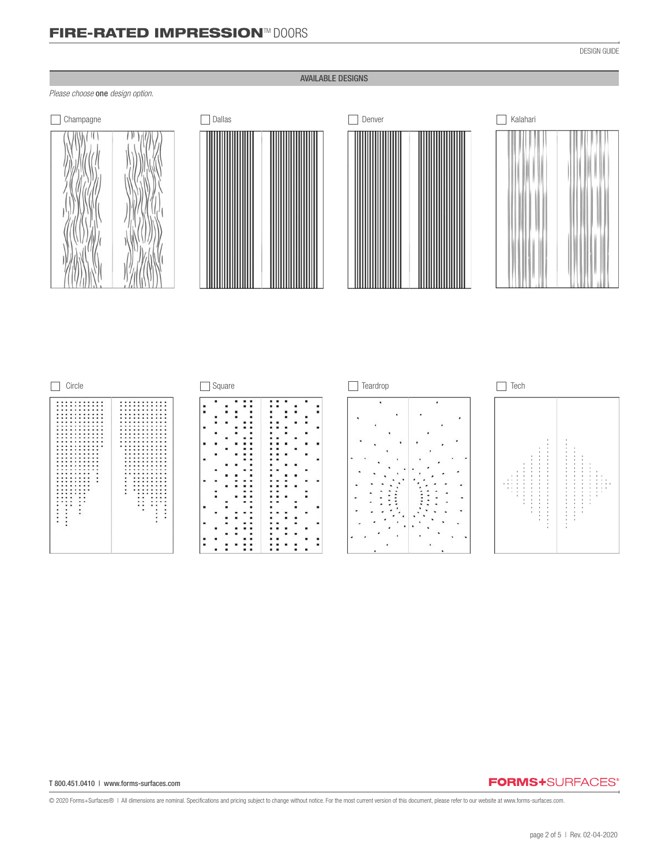# **FIRE-RATED IMPRESSION<sup>IM</sup> DOORS**

## AVAILABLE DESIGNS

## *Please choose* one *design option.*



| Dallas |  |
|--------|--|
|        |  |







#### T 800.451.0410 | www.forms-surfaces.com

## **FORMS+**SURFACES®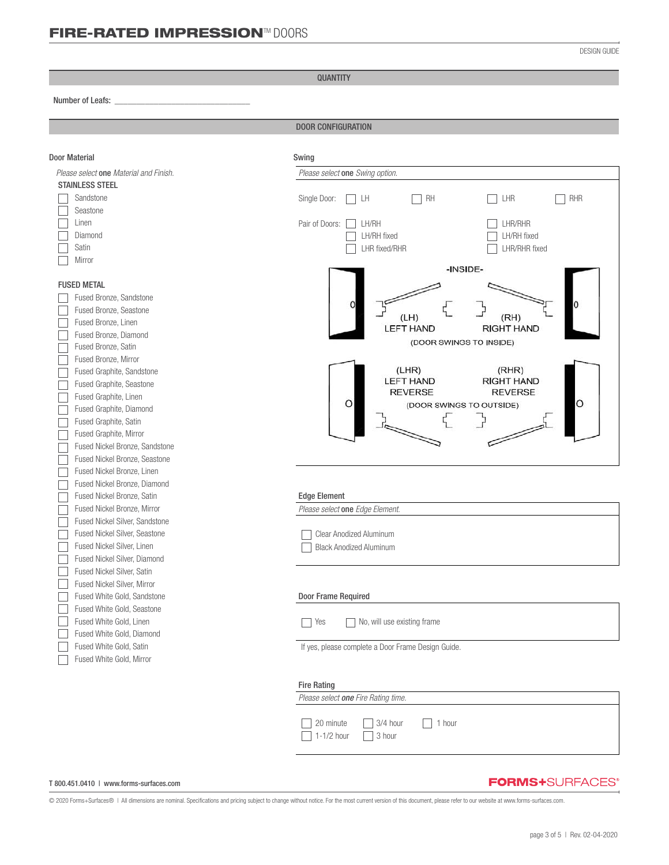QUANTITY

#### Number of Leafs: *\_\_\_\_\_\_\_\_\_\_\_\_\_\_\_\_\_\_\_\_\_\_\_\_\_\_\_\_\_\_\_*

֦

DOOR CONFIGURATION

| <b>Door Material</b>                             | Swing                                                     |  |  |
|--------------------------------------------------|-----------------------------------------------------------|--|--|
| Please select one Material and Finish.           | Please select one Swing option.                           |  |  |
| <b>STAINLESS STEEL</b>                           |                                                           |  |  |
| Sandstone                                        | Single Door:<br>LH<br>RH<br>LHR<br>RHR                    |  |  |
| Seastone                                         |                                                           |  |  |
| Linen                                            | Pair of Doors:<br>LH/RH<br>LHR/RHR                        |  |  |
| Diamond                                          | LH/RH fixed<br>LH/RH fixed                                |  |  |
| Satin                                            | LHR fixed/RHR<br>LHR/RHR fixed                            |  |  |
| Mirror                                           |                                                           |  |  |
|                                                  | -INSIDE-                                                  |  |  |
| <b>FUSED METAL</b>                               |                                                           |  |  |
| Fused Bronze, Sandstone                          |                                                           |  |  |
| Fused Bronze, Seastone                           | (LH)<br>(RH)                                              |  |  |
| Fused Bronze, Linen                              | <b>LEFT HAND</b><br><b>RIGHT HAND</b>                     |  |  |
| Fused Bronze, Diamond                            | (DOOR SWINGS TO INSIDE)                                   |  |  |
| Fused Bronze, Satin                              |                                                           |  |  |
| Fused Bronze, Mirror                             | (LHR)<br>(RHR)                                            |  |  |
| Fused Graphite, Sandstone                        | <b>LEFT HAND</b><br><b>RIGHT HAND</b>                     |  |  |
| Fused Graphite, Seastone                         | <b>REVERSE</b><br><b>REVERSE</b>                          |  |  |
| Fused Graphite, Linen<br>Fused Graphite, Diamond | O<br>O<br>(DOOR SWINGS TO OUTSIDE)                        |  |  |
| Fused Graphite, Satin                            |                                                           |  |  |
| Fused Graphite, Mirror                           |                                                           |  |  |
| Fused Nickel Bronze, Sandstone                   |                                                           |  |  |
| Fused Nickel Bronze, Seastone                    |                                                           |  |  |
| Fused Nickel Bronze, Linen                       |                                                           |  |  |
| Fused Nickel Bronze, Diamond                     |                                                           |  |  |
| Fused Nickel Bronze, Satin                       | <b>Edge Element</b>                                       |  |  |
| Fused Nickel Bronze, Mirror                      | Please select one Edge Element.                           |  |  |
| Fused Nickel Silver, Sandstone                   |                                                           |  |  |
| Fused Nickel Silver, Seastone                    | <b>Clear Anodized Aluminum</b>                            |  |  |
| Fused Nickel Silver, Linen                       | <b>Black Anodized Aluminum</b>                            |  |  |
| Fused Nickel Silver, Diamond                     |                                                           |  |  |
| Fused Nickel Silver, Satin                       |                                                           |  |  |
| Fused Nickel Silver, Mirror                      |                                                           |  |  |
| Fused White Gold, Sandstone                      | Door Frame Required                                       |  |  |
| Fused White Gold, Seastone                       |                                                           |  |  |
| Fused White Gold, Linen                          | Yes<br>No, will use existing frame                        |  |  |
| Fused White Gold, Diamond                        |                                                           |  |  |
| Fused White Gold, Satin                          | If yes, please complete a Door Frame Design Guide.        |  |  |
| Fused White Gold, Mirror                         |                                                           |  |  |
|                                                  |                                                           |  |  |
|                                                  | <b>Fire Rating</b>                                        |  |  |
|                                                  | Please select one Fire Rating time.                       |  |  |
|                                                  |                                                           |  |  |
|                                                  | 20 minute<br>3/4 hour<br>1 hour<br>$1-1/2$ hour<br>3 hour |  |  |
|                                                  |                                                           |  |  |
|                                                  |                                                           |  |  |

#### T 800.451.0410 | www.forms-surfaces.com

# **FORMS+**SURFACES®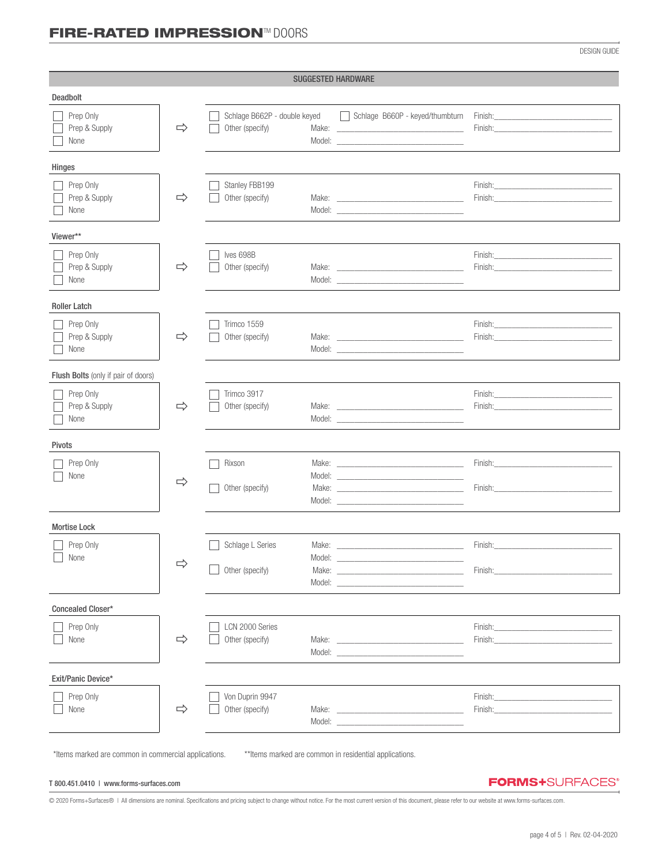# **FIRE-RATED IMPRESSION<sup>IM</sup> DOORS**

| <b>SUGGESTED HARDWARE</b>           |               |                                                        |                                                                                                                                                                                                                                                                                                                                                                                                                                                                             |                                                                                                                                                                                                                                                                                                                                                                                                                                                                  |
|-------------------------------------|---------------|--------------------------------------------------------|-----------------------------------------------------------------------------------------------------------------------------------------------------------------------------------------------------------------------------------------------------------------------------------------------------------------------------------------------------------------------------------------------------------------------------------------------------------------------------|------------------------------------------------------------------------------------------------------------------------------------------------------------------------------------------------------------------------------------------------------------------------------------------------------------------------------------------------------------------------------------------------------------------------------------------------------------------|
| Deadbolt                            |               |                                                        |                                                                                                                                                                                                                                                                                                                                                                                                                                                                             |                                                                                                                                                                                                                                                                                                                                                                                                                                                                  |
| Prep Only<br>Prep & Supply<br>None  | $\Rightarrow$ | Schlage B662P - double keyed<br>Other (specify)        | Schlage B660P - keyed/thumbturn<br>Model: <u>with the community of the community of the community of the community of the community of the community of the community of the community of the community of the community of the community of the community of the c</u>                                                                                                                                                                                                     | Finish: Enterprise of the contract of the contract of the contract of the contract of the contract of the contract of the contract of the contract of the contract of the contract of the contract of the contract of the cont                                                                                                                                                                                                                                   |
| Hinges                              |               |                                                        |                                                                                                                                                                                                                                                                                                                                                                                                                                                                             |                                                                                                                                                                                                                                                                                                                                                                                                                                                                  |
| Prep Only<br>Prep & Supply<br>None  | $\Rightarrow$ | Stanley FBB199<br>Other (specify)                      | Model: New York and the state of the state of the state of the state of the state of the state of the state of the state of the state of the state of the state of the state of the state of the state of the state of the sta                                                                                                                                                                                                                                              | Finish: Entrance and The Communications of the Communications of the Communications of the Communications of the Communications of the Communications of the Communications of the Communications of the Communications of the                                                                                                                                                                                                                                   |
| Viewer**                            |               |                                                        |                                                                                                                                                                                                                                                                                                                                                                                                                                                                             |                                                                                                                                                                                                                                                                                                                                                                                                                                                                  |
| Prep Only<br>Prep & Supply<br>None  | $\Rightarrow$ | Ives 698B<br>Other (specify)                           |                                                                                                                                                                                                                                                                                                                                                                                                                                                                             | Finish: Entertainment of the state of the state of the state of the state of the state of the state of the state of the state of the state of the state of the state of the state of the state of the state of the state of th<br>Finish: The Contract of the Contract of the Contract of the Contract of the Contract of the Contract of the Contract of the Contract of the Contract of the Contract of the Contract of the Contract of the Contract of the Co |
| <b>Roller Latch</b>                 |               |                                                        |                                                                                                                                                                                                                                                                                                                                                                                                                                                                             |                                                                                                                                                                                                                                                                                                                                                                                                                                                                  |
| Prep Only<br>Prep & Supply<br>None  | $\Rightarrow$ | Trimco 1559<br>Other (specify)                         |                                                                                                                                                                                                                                                                                                                                                                                                                                                                             | Finish: The Contract of the Contract of the Contract of the Contract of the Contract of the Contract of the Contract of the Contract of the Contract of the Contract of the Contract of the Contract of the Contract of the Co<br>Finish: Entrance and The Company of the Company of the Company of the Company of the Company of the Company of the Company of the Company of the Company of the Company of the Company of the Company of the Company of the Co |
| Flush Bolts (only if pair of doors) |               |                                                        |                                                                                                                                                                                                                                                                                                                                                                                                                                                                             |                                                                                                                                                                                                                                                                                                                                                                                                                                                                  |
| Prep Only<br>Prep & Supply<br>None  | $\Rightarrow$ | Trimco 3917<br>Other (specify)                         | Model: New York and the Commission of the Commission of the Commission of the Commission of the Commission of the Commission of the Commission of the Commission of the Commission of the Commission of the Commission of the                                                                                                                                                                                                                                               | Finish: Engineering and the state of the state of the state of the state of the state of the state of the state of the state of the state of the state of the state of the state of the state of the state of the state of the                                                                                                                                                                                                                                   |
| <b>Pivots</b>                       |               |                                                        |                                                                                                                                                                                                                                                                                                                                                                                                                                                                             |                                                                                                                                                                                                                                                                                                                                                                                                                                                                  |
| Prep Only<br>None                   | $\Rightarrow$ | Rixson<br>Other (specify)                              | Make: The contract of the contract of the contract of the contract of the contract of the contract of the contract of the contract of the contract of the contract of the contract of the contract of the contract of the cont<br>Model: New York and the state of the state of the state of the state of the state of the state of the state of the state of the state of the state of the state of the state of the state of the state of the state of the sta            | Finish: <b>Example 2018</b><br>Finish:                                                                                                                                                                                                                                                                                                                                                                                                                           |
| <b>Mortise Lock</b>                 |               |                                                        |                                                                                                                                                                                                                                                                                                                                                                                                                                                                             |                                                                                                                                                                                                                                                                                                                                                                                                                                                                  |
| Prep Only<br>$\Box$ None            | $\Rightarrow$ | Schlage L Series<br>Model:<br>Other (specify)<br>Make: | Make: <u>example</u> and a series of the series of the series of the series of the series of the series of the series of the series of the series of the series of the series of the series of the series of the series of the seri<br><u> The Common State of the Common State of the Common State of the Common State of the Common State of the Common State of the Common State of the Common State of the Common State of the Common State of the Common State of </u> | Finish: <b>Example 2018</b><br>Finish:                                                                                                                                                                                                                                                                                                                                                                                                                           |
| <b>Concealed Closer*</b>            |               |                                                        |                                                                                                                                                                                                                                                                                                                                                                                                                                                                             |                                                                                                                                                                                                                                                                                                                                                                                                                                                                  |
| Prep Only<br>None                   | $\Rightarrow$ | LCN 2000 Series<br>Other (specify)                     | Make: National Communication of the Communication of the Communication of the Communication of the Communication of the Communication of the Communication of the Communication of the Communication of the Communication of t<br>Model: Note and the second state of the second state of the second state of the second state of the second state of the second state of the second state of the second state of the second state of the second state of the se            | Finish: Enterprise of the state of the state of the state of the state of the state of the state of the state of the state of the state of the state of the state of the state of the state of the state of the state of the s<br>Finish:                                                                                                                                                                                                                        |
| Exit/Panic Device*                  |               |                                                        |                                                                                                                                                                                                                                                                                                                                                                                                                                                                             |                                                                                                                                                                                                                                                                                                                                                                                                                                                                  |
| Prep Only<br>None                   | $\Rightarrow$ | Von Duprin 9947<br>Other (specify)                     | Make: <u>example</u>                                                                                                                                                                                                                                                                                                                                                                                                                                                        | Finish: The contract of the contract of the contract of the contract of the contract of the contract of the contract of the contract of the contract of the contract of the contract of the contract of the contract of the co<br>Finish: <b>Example 2018</b>                                                                                                                                                                                                    |

T 800.451.0410 | www.forms-surfaces.com

\*Items marked are common in commercial applications. \*\*Items marked are common in residential applications.

**FORMS+**SURFACES®